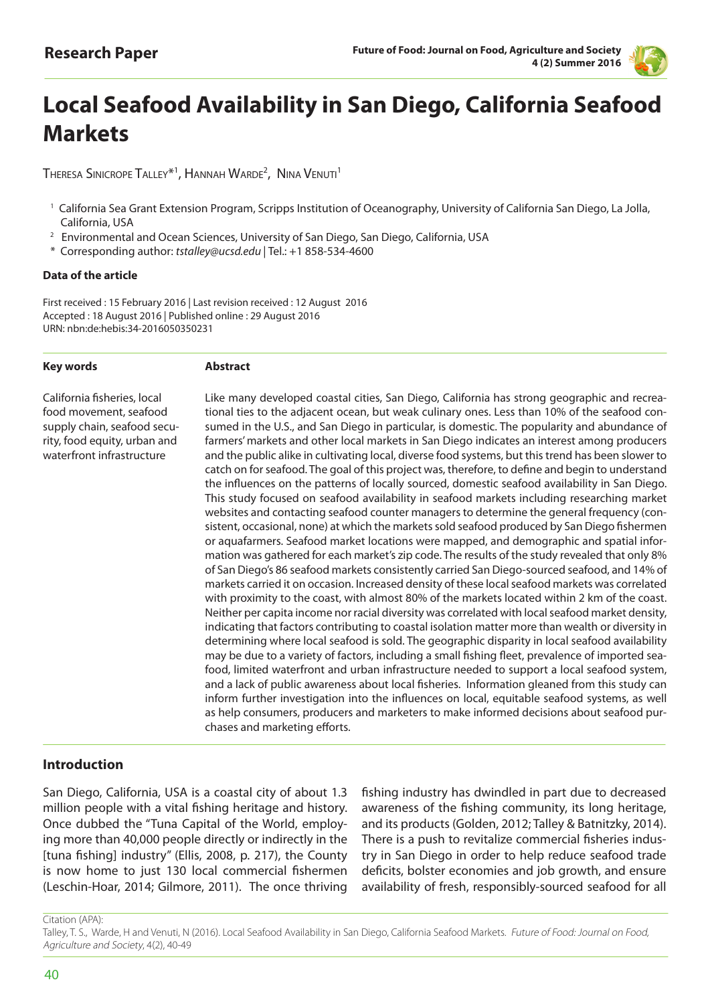

# **Local Seafood Availability in San Diego, California Seafood Markets**

 ${\sf ThERESA}$  Sinicrope  ${\sf TALEY}^{\ast}{\sf 1}$ ,  ${\sf HANNAH}$   ${\sf WARDE}^2$ ,  ${\sf NINA}$   ${\sf VENUTI}^1$ 

- <sup>1</sup> California Sea Grant Extension Program, Scripps Institution of Oceanography, University of California San Diego, La Jolla, California, USA
- <sup>2</sup> Environmental and Ocean Sciences, University of San Diego, San Diego, California, USA
- \* Corresponding author: *tstalley@ucsd.edu* | Tel.: +1 858-534-4600

#### **Data of the article**

First received : 15 February 2016 | Last revision received : 12 August 2016 Accepted : 18 August 2016 | Published online : 29 August 2016 URN: nbn:de:hebis:34-2016050350231

#### **Key words**

#### **Abstract**

California fisheries, local food movement, seafood supply chain, seafood security, food equity, urban and waterfront infrastructure

Like many developed coastal cities, San Diego, California has strong geographic and recreational ties to the adjacent ocean, but weak culinary ones. Less than 10% of the seafood consumed in the U.S., and San Diego in particular, is domestic. The popularity and abundance of farmers' markets and other local markets in San Diego indicates an interest among producers and the public alike in cultivating local, diverse food systems, but this trend has been slower to catch on for seafood. The goal of this project was, therefore, to define and begin to understand the influences on the patterns of locally sourced, domestic seafood availability in San Diego. This study focused on seafood availability in seafood markets including researching market websites and contacting seafood counter managers to determine the general frequency (consistent, occasional, none) at which the markets sold seafood produced by San Diego fishermen or aquafarmers. Seafood market locations were mapped, and demographic and spatial information was gathered for each market's zip code. The results of the study revealed that only 8% of San Diego's 86 seafood markets consistently carried San Diego-sourced seafood, and 14% of markets carried it on occasion. Increased density of these local seafood markets was correlated with proximity to the coast, with almost 80% of the markets located within 2 km of the coast. Neither per capita income nor racial diversity was correlated with local seafood market density, indicating that factors contributing to coastal isolation matter more than wealth or diversity in determining where local seafood is sold. The geographic disparity in local seafood availability may be due to a variety of factors, including a small fishing fleet, prevalence of imported seafood, limited waterfront and urban infrastructure needed to support a local seafood system, and a lack of public awareness about local fisheries. Information gleaned from this study can inform further investigation into the influences on local, equitable seafood systems, as well as help consumers, producers and marketers to make informed decisions about seafood purchases and marketing efforts.

## **Introduction**

San Diego, California, USA is a coastal city of about 1.3 million people with a vital fishing heritage and history. Once dubbed the "Tuna Capital of the World, employing more than 40,000 people directly or indirectly in the [tuna fishing] industry" (Ellis, 2008, p. 217), the County is now home to just 130 local commercial fishermen (Leschin-Hoar, 2014; Gilmore, 2011). The once thriving

fishing industry has dwindled in part due to decreased awareness of the fishing community, its long heritage, and its products (Golden, 2012; Talley & Batnitzky, 2014). There is a push to revitalize commercial fisheries industry in San Diego in order to help reduce seafood trade deficits, bolster economies and job growth, and ensure availability of fresh, responsibly-sourced seafood for all

Citation (APA):

Talley, T. S., Warde, H and Venuti, N (2016). Local Seafood Availability in San Diego, California Seafood Markets. Future of Food: Journal on Food, Agriculture and Society, 4(2), 40-49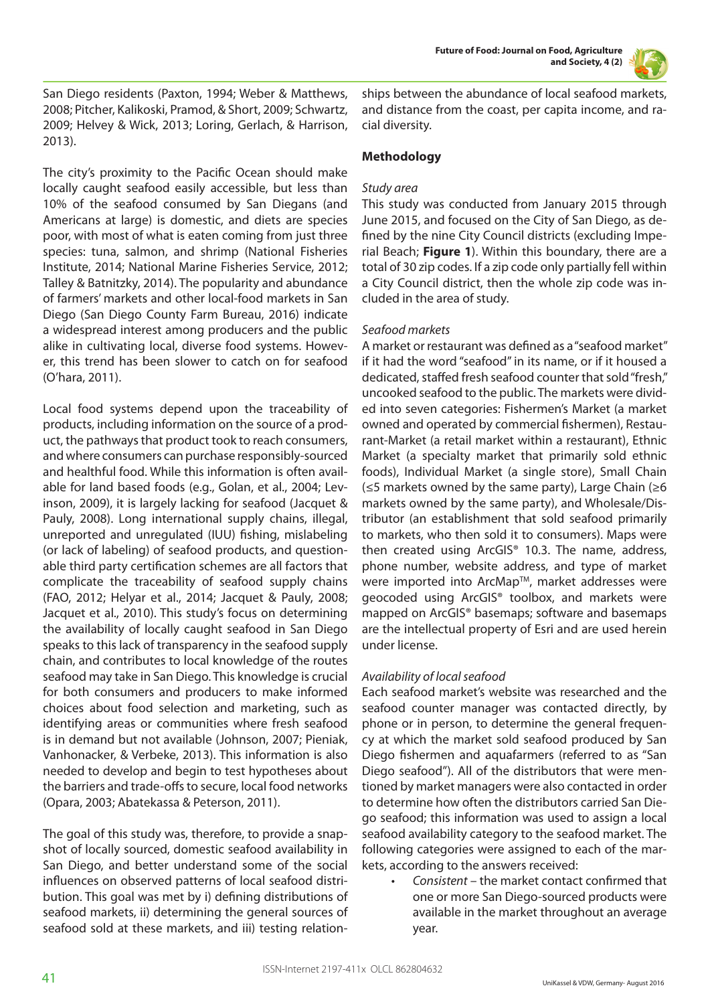**Future of Food: Journal on Food, Agriculture and Society, 4 (2)**



San Diego residents (Paxton, 1994; Weber & Matthews, 2008; Pitcher, Kalikoski, Pramod, & Short, 2009; Schwartz, 2009; Helvey & Wick, 2013; Loring, Gerlach, & Harrison, 2013).

The city's proximity to the Pacific Ocean should make locally caught seafood easily accessible, but less than 10% of the seafood consumed by San Diegans (and Americans at large) is domestic, and diets are species poor, with most of what is eaten coming from just three species: tuna, salmon, and shrimp (National Fisheries Institute, 2014; National Marine Fisheries Service, 2012; Talley & Batnitzky, 2014). The popularity and abundance of farmers' markets and other local-food markets in San Diego (San Diego County Farm Bureau, 2016) indicate a widespread interest among producers and the public alike in cultivating local, diverse food systems. However, this trend has been slower to catch on for seafood (O'hara, 2011).

Local food systems depend upon the traceability of products, including information on the source of a product, the pathways that product took to reach consumers, and where consumers can purchase responsibly-sourced and healthful food. While this information is often available for land based foods (e.g., Golan, et al., 2004; Levinson, 2009), it is largely lacking for seafood (Jacquet & Pauly, 2008). Long international supply chains, illegal, unreported and unregulated (IUU) fishing, mislabeling (or lack of labeling) of seafood products, and questionable third party certification schemes are all factors that complicate the traceability of seafood supply chains (FAO, 2012; Helyar et al., 2014; Jacquet & Pauly, 2008; Jacquet et al., 2010). This study's focus on determining the availability of locally caught seafood in San Diego speaks to this lack of transparency in the seafood supply chain, and contributes to local knowledge of the routes seafood may take in San Diego. This knowledge is crucial for both consumers and producers to make informed choices about food selection and marketing, such as identifying areas or communities where fresh seafood is in demand but not available (Johnson, 2007; Pieniak, Vanhonacker, & Verbeke, 2013). This information is also needed to develop and begin to test hypotheses about the barriers and trade-offs to secure, local food networks (Opara, 2003; Abatekassa & Peterson, 2011).

The goal of this study was, therefore, to provide a snapshot of locally sourced, domestic seafood availability in San Diego, and better understand some of the social influences on observed patterns of local seafood distribution. This goal was met by i) defining distributions of seafood markets, ii) determining the general sources of seafood sold at these markets, and iii) testing relationships between the abundance of local seafood markets, and distance from the coast, per capita income, and racial diversity.

## **Methodology**

## *Study area*

This study was conducted from January 2015 through June 2015, and focused on the City of San Diego, as defined by the nine City Council districts (excluding Imperial Beach; **Figure 1**). Within this boundary, there are a total of 30 zip codes. If a zip code only partially fell within a City Council district, then the whole zip code was included in the area of study.

## *Seafood markets*

A market or restaurant was defined as a "seafood market" if it had the word "seafood" in its name, or if it housed a dedicated, staffed fresh seafood counter that sold "fresh," uncooked seafood to the public. The markets were divided into seven categories: Fishermen's Market (a market owned and operated by commercial fishermen), Restaurant-Market (a retail market within a restaurant), Ethnic Market (a specialty market that primarily sold ethnic foods), Individual Market (a single store), Small Chain (≤5 markets owned by the same party), Large Chain (≥6 markets owned by the same party), and Wholesale/Distributor (an establishment that sold seafood primarily to markets, who then sold it to consumers). Maps were then created using ArcGIS® 10.3. The name, address, phone number, website address, and type of market were imported into ArcMap™, market addresses were geocoded using ArcGIS® toolbox, and markets were mapped on ArcGIS® basemaps; software and basemaps are the intellectual property of Esri and are used herein under license.

## *Availability of local seafood*

Each seafood market's website was researched and the seafood counter manager was contacted directly, by phone or in person, to determine the general frequency at which the market sold seafood produced by San Diego fishermen and aquafarmers (referred to as "San Diego seafood"). All of the distributors that were mentioned by market managers were also contacted in order to determine how often the distributors carried San Diego seafood; this information was used to assign a local seafood availability category to the seafood market. The following categories were assigned to each of the markets, according to the answers received:

*• Consistent* – the market contact confirmed that one or more San Diego-sourced products were available in the market throughout an average year.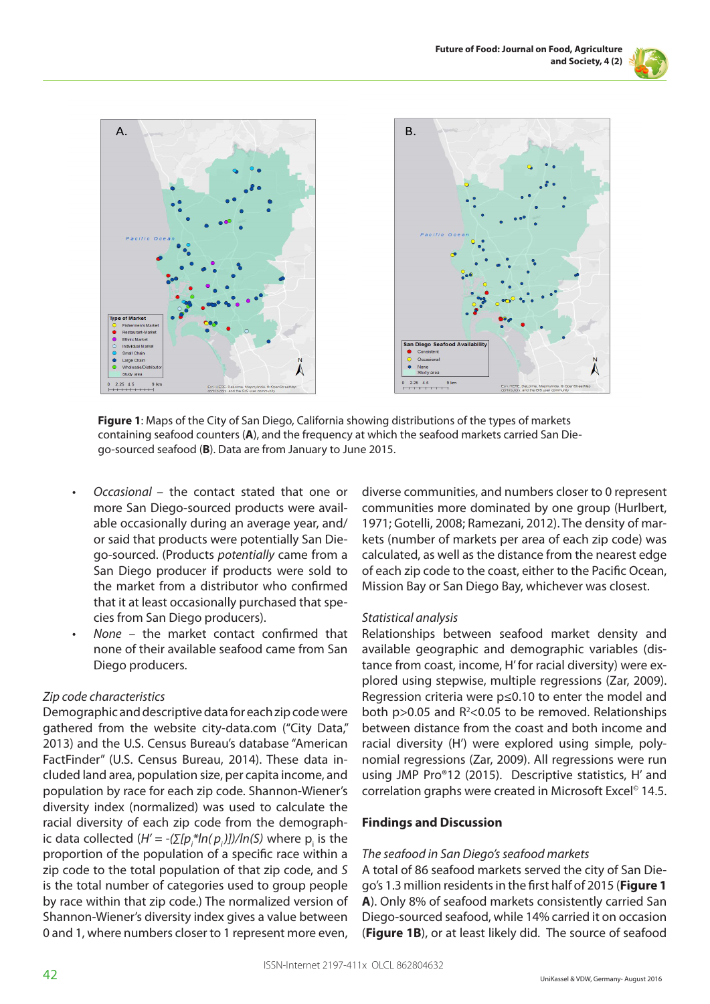



**Figure 1**: Maps of the City of San Diego, California showing distributions of the types of markets containing seafood counters (**A**), and the frequency at which the seafood markets carried San Diego-sourced seafood (**B**). Data are from January to June 2015.

- *• Occasional*  the contact stated that one or more San Diego-sourced products were available occasionally during an average year, and/ or said that products were potentially San Diego-sourced. (Products *potentially* came from a San Diego producer if products were sold to the market from a distributor who confirmed that it at least occasionally purchased that species from San Diego producers).
- *• None* the market contact confirmed that none of their available seafood came from San Diego producers.

## *Zip code characteristics*

Demographic and descriptive data for each zip code were gathered from the website city-data.com ("City Data," 2013) and the U.S. Census Bureau's database "American FactFinder" (U.S. Census Bureau, 2014). These data included land area, population size, per capita income, and population by race for each zip code. Shannon-Wiener's diversity index (normalized) was used to calculate the racial diversity of each zip code from the demographic data collected  $(H' = -(\sum [p_i^*ln(p_i)])/ln(S)$  where  $p_i$  is the proportion of the population of a specific race within a zip code to the total population of that zip code, and *S* is the total number of categories used to group people by race within that zip code.) The normalized version of Shannon-Wiener's diversity index gives a value between 0 and 1, where numbers closer to 1 represent more even,

diverse communities, and numbers closer to 0 represent communities more dominated by one group (Hurlbert, 1971; Gotelli, 2008; Ramezani, 2012). The density of markets (number of markets per area of each zip code) was calculated, as well as the distance from the nearest edge of each zip code to the coast, either to the Pacific Ocean, Mission Bay or San Diego Bay, whichever was closest.

## *Statistical analysis*

Relationships between seafood market density and available geographic and demographic variables (distance from coast, income, H' for racial diversity) were explored using stepwise, multiple regressions (Zar, 2009). Regression criteria were p≤0.10 to enter the model and both  $p > 0.05$  and  $R<sup>2</sup> < 0.05$  to be removed. Relationships between distance from the coast and both income and racial diversity (H') were explored using simple, polynomial regressions (Zar, 2009). All regressions were run using JMP Pro®12 (2015). Descriptive statistics, H' and correlation graphs were created in Microsoft Excel<sup>®</sup> 14.5.

## **Findings and Discussion**

## *The seafood in San Diego's seafood markets*

A total of 86 seafood markets served the city of San Diego's 1.3 million residents in the first half of 2015 (**Figure 1 A**). Only 8% of seafood markets consistently carried San Diego-sourced seafood, while 14% carried it on occasion (**Figure 1B**), or at least likely did. The source of seafood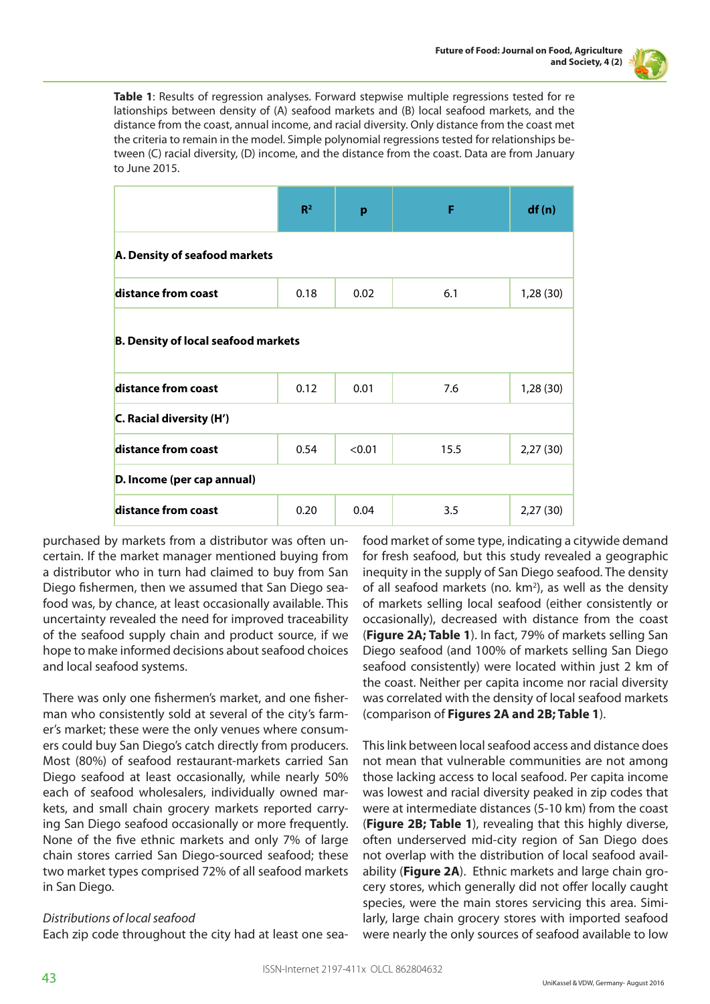

**Table 1**: Results of regression analyses. Forward stepwise multiple regressions tested for re lationships between density of (A) seafood markets and (B) local seafood markets, and the distance from the coast, annual income, and racial diversity. Only distance from the coast met the criteria to remain in the model. Simple polynomial regressions tested for relationships between (C) racial diversity, (D) income, and the distance from the coast. Data are from January to June 2015.

|                                            | R <sup>2</sup> | p      | F    | df(n)    |
|--------------------------------------------|----------------|--------|------|----------|
| A. Density of seafood markets              |                |        |      |          |
| distance from coast                        | 0.18           | 0.02   | 6.1  | 1,28(30) |
| <b>B. Density of local seafood markets</b> |                |        |      |          |
| distance from coast                        | 0.12           | 0.01   | 7.6  | 1,28(30) |
| C. Racial diversity (H')                   |                |        |      |          |
| distance from coast                        | 0.54           | < 0.01 | 15.5 | 2,27(30) |
| D. Income (per cap annual)                 |                |        |      |          |
| distance from coast                        | 0.20           | 0.04   | 3.5  | 2,27(30) |

purchased by markets from a distributor was often uncertain. If the market manager mentioned buying from a distributor who in turn had claimed to buy from San Diego fishermen, then we assumed that San Diego seafood was, by chance, at least occasionally available. This uncertainty revealed the need for improved traceability of the seafood supply chain and product source, if we hope to make informed decisions about seafood choices and local seafood systems.

There was only one fishermen's market, and one fisherman who consistently sold at several of the city's farmer's market; these were the only venues where consumers could buy San Diego's catch directly from producers. Most (80%) of seafood restaurant-markets carried San Diego seafood at least occasionally, while nearly 50% each of seafood wholesalers, individually owned markets, and small chain grocery markets reported carrying San Diego seafood occasionally or more frequently. None of the five ethnic markets and only 7% of large chain stores carried San Diego-sourced seafood; these two market types comprised 72% of all seafood markets in San Diego.

## *Distributions of local seafood*

Each zip code throughout the city had at least one sea-

food market of some type, indicating a citywide demand for fresh seafood, but this study revealed a geographic inequity in the supply of San Diego seafood. The density of all seafood markets (no.  $km^2$ ), as well as the density of markets selling local seafood (either consistently or occasionally), decreased with distance from the coast (**Figure 2A; Table 1**). In fact, 79% of markets selling San Diego seafood (and 100% of markets selling San Diego seafood consistently) were located within just 2 km of the coast. Neither per capita income nor racial diversity was correlated with the density of local seafood markets (comparison of **Figures 2A and 2B; Table 1**).

This link between local seafood access and distance does not mean that vulnerable communities are not among those lacking access to local seafood. Per capita income was lowest and racial diversity peaked in zip codes that were at intermediate distances (5-10 km) from the coast (**Figure 2B; Table 1**), revealing that this highly diverse, often underserved mid-city region of San Diego does not overlap with the distribution of local seafood availability (**Figure 2A**). Ethnic markets and large chain grocery stores, which generally did not offer locally caught species, were the main stores servicing this area. Similarly, large chain grocery stores with imported seafood were nearly the only sources of seafood available to low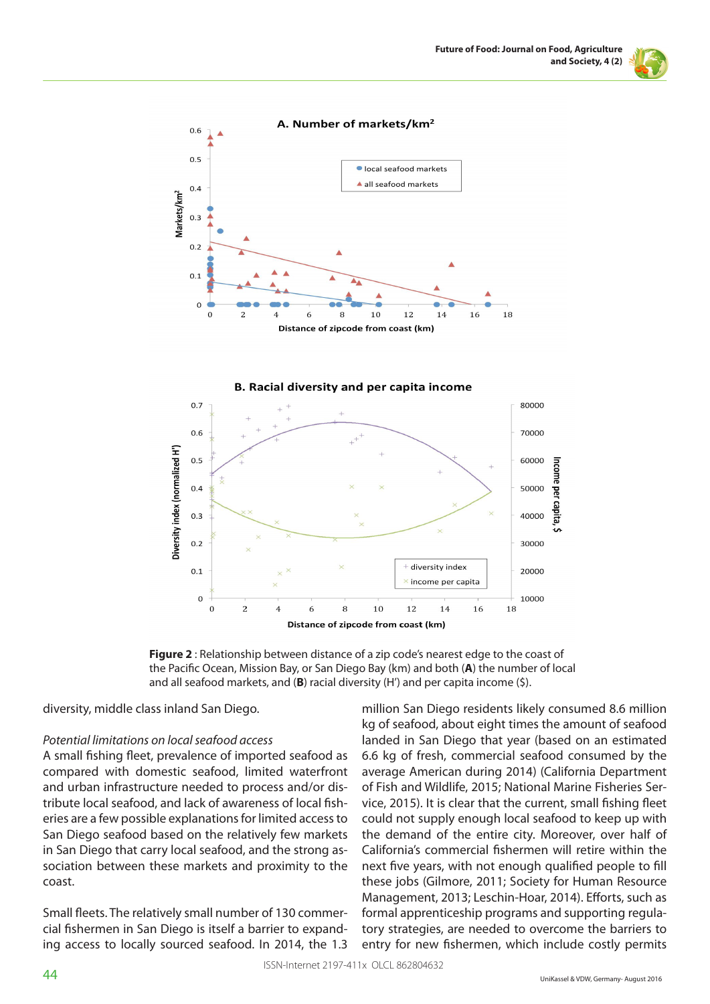



**Figure 2** : Relationship between distance of a zip code's nearest edge to the coast of the Pacific Ocean, Mission Bay, or San Diego Bay (km) and both (**A**) the number of local and all seafood markets, and (**B**) racial diversity (H') and per capita income (\$).

diversity, middle class inland San Diego.

#### *Potential limitations on local seafood access*

A small fishing fleet, prevalence of imported seafood as compared with domestic seafood, limited waterfront and urban infrastructure needed to process and/or distribute local seafood, and lack of awareness of local fisheries are a few possible explanations for limited access to San Diego seafood based on the relatively few markets in San Diego that carry local seafood, and the strong association between these markets and proximity to the coast.

Small fleets. The relatively small number of 130 commercial fishermen in San Diego is itself a barrier to expanding access to locally sourced seafood. In 2014, the 1.3 million San Diego residents likely consumed 8.6 million kg of seafood, about eight times the amount of seafood landed in San Diego that year (based on an estimated 6.6 kg of fresh, commercial seafood consumed by the average American during 2014) (California Department of Fish and Wildlife, 2015; National Marine Fisheries Service, 2015). It is clear that the current, small fishing fleet could not supply enough local seafood to keep up with the demand of the entire city. Moreover, over half of California's commercial fishermen will retire within the next five years, with not enough qualified people to fill these jobs (Gilmore, 2011; Society for Human Resource Management, 2013; Leschin-Hoar, 2014). Efforts, such as formal apprenticeship programs and supporting regulatory strategies, are needed to overcome the barriers to entry for new fishermen, which include costly permits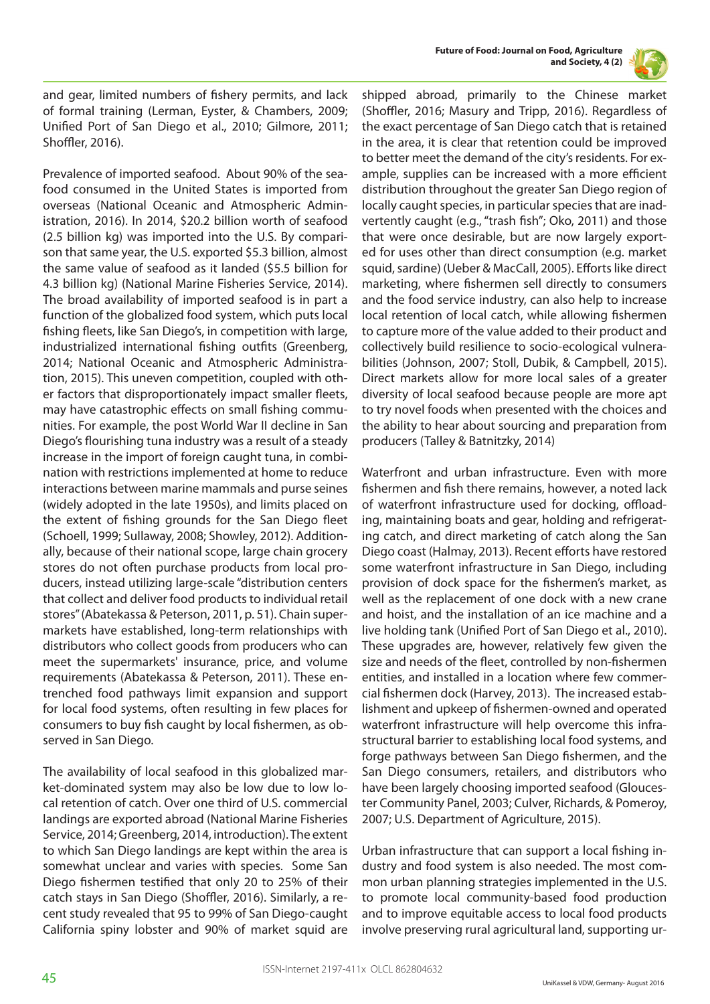



and gear, limited numbers of fishery permits, and lack of formal training (Lerman, Eyster, & Chambers, 2009; Unified Port of San Diego et al., 2010; Gilmore, 2011; Shoffler, 2016).

Prevalence of imported seafood. About 90% of the seafood consumed in the United States is imported from overseas (National Oceanic and Atmospheric Administration, 2016). In 2014, \$20.2 billion worth of seafood (2.5 billion kg) was imported into the U.S. By comparison that same year, the U.S. exported \$5.3 billion, almost the same value of seafood as it landed (\$5.5 billion for 4.3 billion kg) (National Marine Fisheries Service, 2014). The broad availability of imported seafood is in part a function of the globalized food system, which puts local fishing fleets, like San Diego's, in competition with large, industrialized international fishing outfits (Greenberg, 2014; National Oceanic and Atmospheric Administration, 2015). This uneven competition, coupled with other factors that disproportionately impact smaller fleets, may have catastrophic effects on small fishing communities. For example, the post World War II decline in San Diego's flourishing tuna industry was a result of a steady increase in the import of foreign caught tuna, in combination with restrictions implemented at home to reduce interactions between marine mammals and purse seines (widely adopted in the late 1950s), and limits placed on the extent of fishing grounds for the San Diego fleet (Schoell, 1999; Sullaway, 2008; Showley, 2012). Additionally, because of their national scope, large chain grocery stores do not often purchase products from local producers, instead utilizing large-scale "distribution centers that collect and deliver food products to individual retail stores" (Abatekassa & Peterson, 2011, p. 51). Chain supermarkets have established, long-term relationships with distributors who collect goods from producers who can meet the supermarkets' insurance, price, and volume requirements (Abatekassa & Peterson, 2011). These entrenched food pathways limit expansion and support for local food systems, often resulting in few places for consumers to buy fish caught by local fishermen, as observed in San Diego.

The availability of local seafood in this globalized market-dominated system may also be low due to low local retention of catch. Over one third of U.S. commercial landings are exported abroad (National Marine Fisheries Service, 2014; Greenberg, 2014, introduction). The extent to which San Diego landings are kept within the area is somewhat unclear and varies with species. Some San Diego fishermen testified that only 20 to 25% of their catch stays in San Diego (Shoffler, 2016). Similarly, a recent study revealed that 95 to 99% of San Diego-caught California spiny lobster and 90% of market squid are

shipped abroad, primarily to the Chinese market (Shoffler, 2016; Masury and Tripp, 2016). Regardless of the exact percentage of San Diego catch that is retained in the area, it is clear that retention could be improved to better meet the demand of the city's residents. For example, supplies can be increased with a more efficient distribution throughout the greater San Diego region of locally caught species, in particular species that are inadvertently caught (e.g., "trash fish"; Oko, 2011) and those that were once desirable, but are now largely exported for uses other than direct consumption (e.g. market squid, sardine) (Ueber & MacCall, 2005). Efforts like direct marketing, where fishermen sell directly to consumers and the food service industry, can also help to increase local retention of local catch, while allowing fishermen to capture more of the value added to their product and collectively build resilience to socio-ecological vulnerabilities (Johnson, 2007; Stoll, Dubik, & Campbell, 2015). Direct markets allow for more local sales of a greater diversity of local seafood because people are more apt to try novel foods when presented with the choices and the ability to hear about sourcing and preparation from producers (Talley & Batnitzky, 2014)

Waterfront and urban infrastructure. Even with more fishermen and fish there remains, however, a noted lack of waterfront infrastructure used for docking, offloading, maintaining boats and gear, holding and refrigerating catch, and direct marketing of catch along the San Diego coast (Halmay, 2013). Recent efforts have restored some waterfront infrastructure in San Diego, including provision of dock space for the fishermen's market, as well as the replacement of one dock with a new crane and hoist, and the installation of an ice machine and a live holding tank (Unified Port of San Diego et al., 2010). These upgrades are, however, relatively few given the size and needs of the fleet, controlled by non-fishermen entities, and installed in a location where few commercial fishermen dock (Harvey, 2013). The increased establishment and upkeep of fishermen-owned and operated waterfront infrastructure will help overcome this infrastructural barrier to establishing local food systems, and forge pathways between San Diego fishermen, and the San Diego consumers, retailers, and distributors who have been largely choosing imported seafood (Gloucester Community Panel, 2003; Culver, Richards, & Pomeroy, 2007; U.S. Department of Agriculture, 2015).

Urban infrastructure that can support a local fishing industry and food system is also needed. The most common urban planning strategies implemented in the U.S. to promote local community-based food production and to improve equitable access to local food products involve preserving rural agricultural land, supporting ur-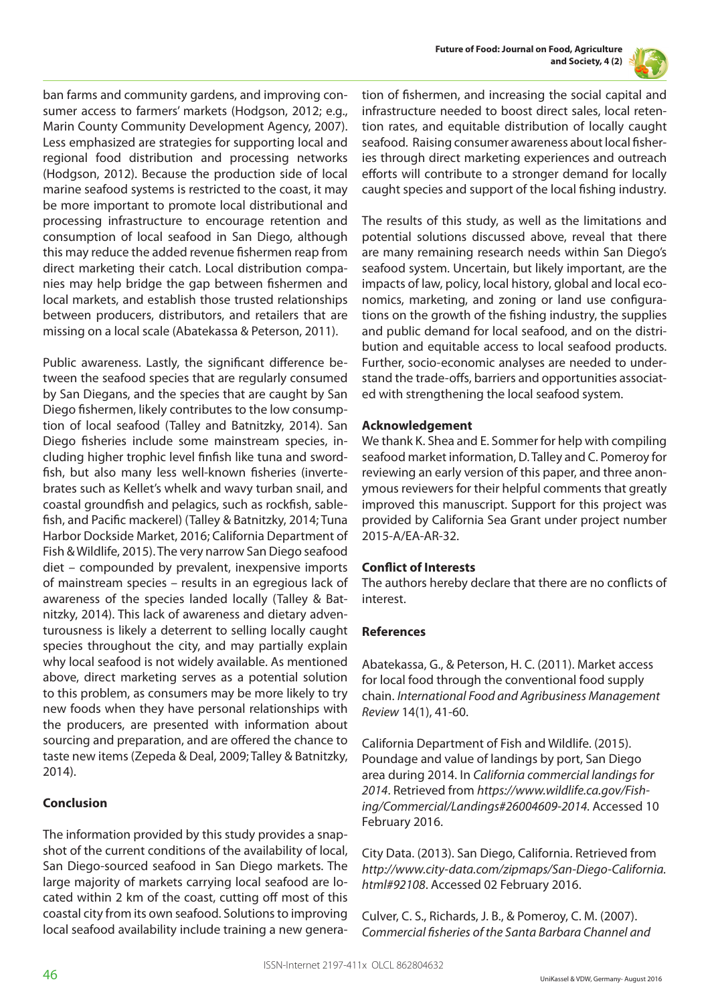

ban farms and community gardens, and improving consumer access to farmers' markets (Hodgson, 2012; e.g., Marin County Community Development Agency, 2007). Less emphasized are strategies for supporting local and regional food distribution and processing networks (Hodgson, 2012). Because the production side of local marine seafood systems is restricted to the coast, it may be more important to promote local distributional and processing infrastructure to encourage retention and consumption of local seafood in San Diego, although this may reduce the added revenue fishermen reap from direct marketing their catch. Local distribution companies may help bridge the gap between fishermen and local markets, and establish those trusted relationships between producers, distributors, and retailers that are missing on a local scale (Abatekassa & Peterson, 2011).

Public awareness. Lastly, the significant difference between the seafood species that are regularly consumed by San Diegans, and the species that are caught by San Diego fishermen, likely contributes to the low consumption of local seafood (Talley and Batnitzky, 2014). San Diego fisheries include some mainstream species, including higher trophic level finfish like tuna and swordfish, but also many less well-known fisheries (invertebrates such as Kellet's whelk and wavy turban snail, and coastal groundfish and pelagics, such as rockfish, sablefish, and Pacific mackerel) (Talley & Batnitzky, 2014; Tuna Harbor Dockside Market, 2016; California Department of Fish & Wildlife, 2015). The very narrow San Diego seafood diet – compounded by prevalent, inexpensive imports of mainstream species – results in an egregious lack of awareness of the species landed locally (Talley & Batnitzky, 2014). This lack of awareness and dietary adventurousness is likely a deterrent to selling locally caught species throughout the city, and may partially explain why local seafood is not widely available. As mentioned above, direct marketing serves as a potential solution to this problem, as consumers may be more likely to try new foods when they have personal relationships with the producers, are presented with information about sourcing and preparation, and are offered the chance to taste new items (Zepeda & Deal, 2009; Talley & Batnitzky, 2014).

## **Conclusion**

The information provided by this study provides a snapshot of the current conditions of the availability of local, San Diego-sourced seafood in San Diego markets. The large majority of markets carrying local seafood are located within 2 km of the coast, cutting off most of this coastal city from its own seafood. Solutions to improving local seafood availability include training a new generation of fishermen, and increasing the social capital and infrastructure needed to boost direct sales, local retention rates, and equitable distribution of locally caught seafood. Raising consumer awareness about local fisheries through direct marketing experiences and outreach efforts will contribute to a stronger demand for locally caught species and support of the local fishing industry.

The results of this study, as well as the limitations and potential solutions discussed above, reveal that there are many remaining research needs within San Diego's seafood system. Uncertain, but likely important, are the impacts of law, policy, local history, global and local economics, marketing, and zoning or land use configurations on the growth of the fishing industry, the supplies and public demand for local seafood, and on the distribution and equitable access to local seafood products. Further, socio-economic analyses are needed to understand the trade-offs, barriers and opportunities associated with strengthening the local seafood system.

# **Acknowledgement**

We thank K. Shea and E. Sommer for help with compiling seafood market information, D. Talley and C. Pomeroy for reviewing an early version of this paper, and three anonymous reviewers for their helpful comments that greatly improved this manuscript. Support for this project was provided by California Sea Grant under project number 2015-A/EA-AR-32.

# **Conflict of Interests**

The authors hereby declare that there are no conflicts of interest.

## **References**

Abatekassa, G., & Peterson, H. C. (2011). Market access for local food through the conventional food supply chain. *International Food and Agribusiness Management Review* 14(1), 41-60.

California Department of Fish and Wildlife. (2015). Poundage and value of landings by port, San Diego area during 2014. In *California commercial landings for 2014*. Retrieved from *https://www.wildlife.ca.gov/Fishing/Commercial/Landings#26004609-2014.* Accessed 10 February 2016.

City Data. (2013). San Diego, California. Retrieved from *http://www.city-data.com/zipmaps/San-Diego-California. html#92108*. Accessed 02 February 2016.

Culver, C. S., Richards, J. B., & Pomeroy, C. M. (2007). *Commercial fisheries of the Santa Barbara Channel and*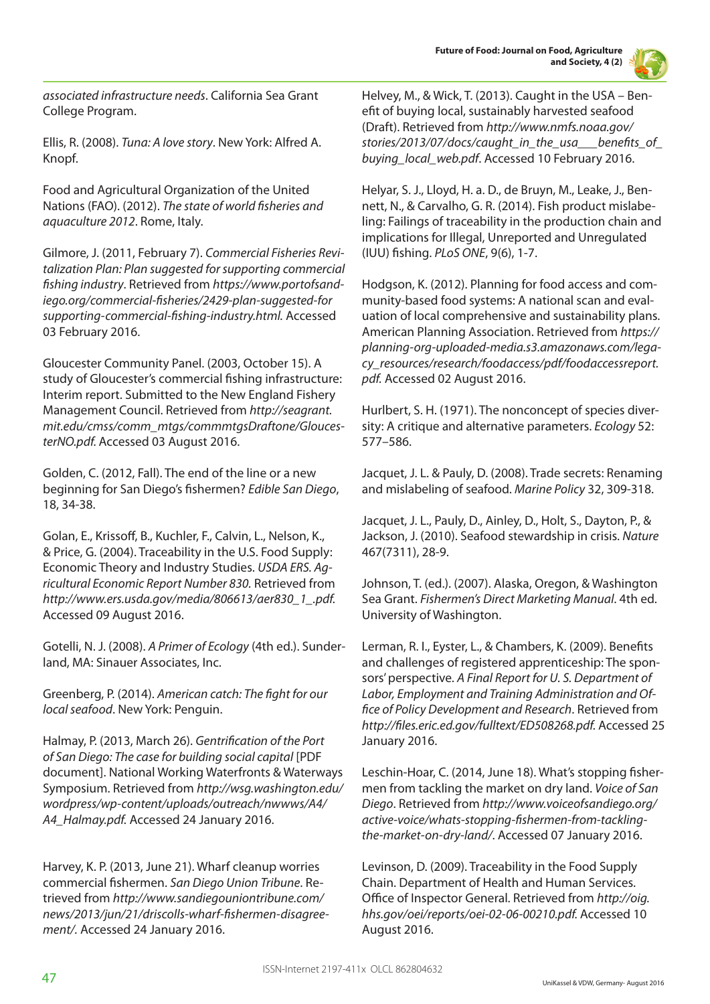**Future of Food: Journal on Food, Agriculture and Society, 4 (2)**



*associated infrastructure needs*. California Sea Grant College Program.

Ellis, R. (2008). *Tuna: A love story*. New York: Alfred A. Knopf.

Food and Agricultural Organization of the United Nations (FAO). (2012). *The state of world fisheries and aquaculture 2012*. Rome, Italy.

Gilmore, J. (2011, February 7). *Commercial Fisheries Revitalization Plan: Plan suggested for supporting commercial fishing industry*. Retrieved from *https://www.portofsandiego.org/commercial-fisheries/2429-plan-suggested-for supporting-commercial-fishing-industry.html.* Accessed 03 February 2016.

Gloucester Community Panel. (2003, October 15). A study of Gloucester's commercial fishing infrastructure: Interim report. Submitted to the New England Fishery Management Council. Retrieved from *http://seagrant. mit.edu/cmss/comm\_mtgs/commmtgsDraftone/GloucesterNO.pdf.* Accessed 03 August 2016.

Golden, C. (2012, Fall). The end of the line or a new beginning for San Diego's fishermen? *Edible San Diego*, 18, 34-38.

Golan, E., Krissoff, B., Kuchler, F., Calvin, L., Nelson, K., & Price, G. (2004). Traceability in the U.S. Food Supply: Economic Theory and Industry Studies. *USDA ERS. Agricultural Economic Report Number 830.* Retrieved from *http://www.ers.usda.gov/media/806613/aer830\_1\_.pdf.* Accessed 09 August 2016.

Gotelli, N. J. (2008). *A Primer of Ecology* (4th ed.). Sunderland, MA: Sinauer Associates, Inc.

Greenberg, P. (2014). *American catch: The fight for our local seafood*. New York: Penguin.

Halmay, P. (2013, March 26). *Gentrification of the Port of San Diego: The case for building social capital* [PDF document]. National Working Waterfronts & Waterways Symposium. Retrieved from *http://wsg.washington.edu/ wordpress/wp-content/uploads/outreach/nwwws/A4/ A4\_Halmay.pdf.* Accessed 24 January 2016.

Harvey, K. P. (2013, June 21). Wharf cleanup worries commercial fishermen. *San Diego Union Tribune*. Retrieved from *http://www.sandiegouniontribune.com/ news/2013/jun/21/driscolls-wharf-fishermen-disagreement/.* Accessed 24 January 2016.

Helvey, M., & Wick, T. (2013). Caught in the USA – Benefit of buying local, sustainably harvested seafood (Draft). Retrieved from *http://www.nmfs.noaa.gov/ stories/2013/07/docs/caught\_in\_the\_usa\_\_\_benefits\_of\_ buying\_local\_web.pdf*. Accessed 10 February 2016.

Helyar, S. J., Lloyd, H. a. D., de Bruyn, M., Leake, J., Bennett, N., & Carvalho, G. R. (2014). Fish product mislabeling: Failings of traceability in the production chain and implications for Illegal, Unreported and Unregulated (IUU) fishing. *PLoS ONE*, 9(6), 1-7.

Hodgson, K. (2012). Planning for food access and community-based food systems: A national scan and evaluation of local comprehensive and sustainability plans. American Planning Association. Retrieved from *https:// planning-org-uploaded-media.s3.amazonaws.com/legacy\_resources/research/foodaccess/pdf/foodaccessreport. pdf.* Accessed 02 August 2016.

Hurlbert, S. H. (1971). The nonconcept of species diversity: A critique and alternative parameters. *Ecology* 52: 577–586.

Jacquet, J. L. & Pauly, D. (2008). Trade secrets: Renaming and mislabeling of seafood. *Marine Policy* 32, 309-318.

Jacquet, J. L., Pauly, D., Ainley, D., Holt, S., Dayton, P., & Jackson, J. (2010). Seafood stewardship in crisis. *Nature* 467(7311), 28-9.

Johnson, T. (ed.). (2007). Alaska, Oregon, & Washington Sea Grant. *Fishermen's Direct Marketing Manual*. 4th ed. University of Washington.

Lerman, R. I., Eyster, L., & Chambers, K. (2009). Benefits and challenges of registered apprenticeship: The sponsors' perspective. *A Final Report for U. S. Department of Labor, Employment and Training Administration and Office of Policy Development and Research*. Retrieved from *http://files.eric.ed.gov/fulltext/ED508268.pdf.* Accessed 25 January 2016.

Leschin-Hoar, C. (2014, June 18). What's stopping fishermen from tackling the market on dry land. *Voice of San Diego*. Retrieved from *http://www.voiceofsandiego.org/ active-voice/whats-stopping-fishermen-from-tacklingthe-market-on-dry-land/*. Accessed 07 January 2016.

Levinson, D. (2009). Traceability in the Food Supply Chain. Department of Health and Human Services. Office of Inspector General. Retrieved from *http://oig. hhs.gov/oei/reports/oei-02-06-00210.pdf.* Accessed 10 August 2016.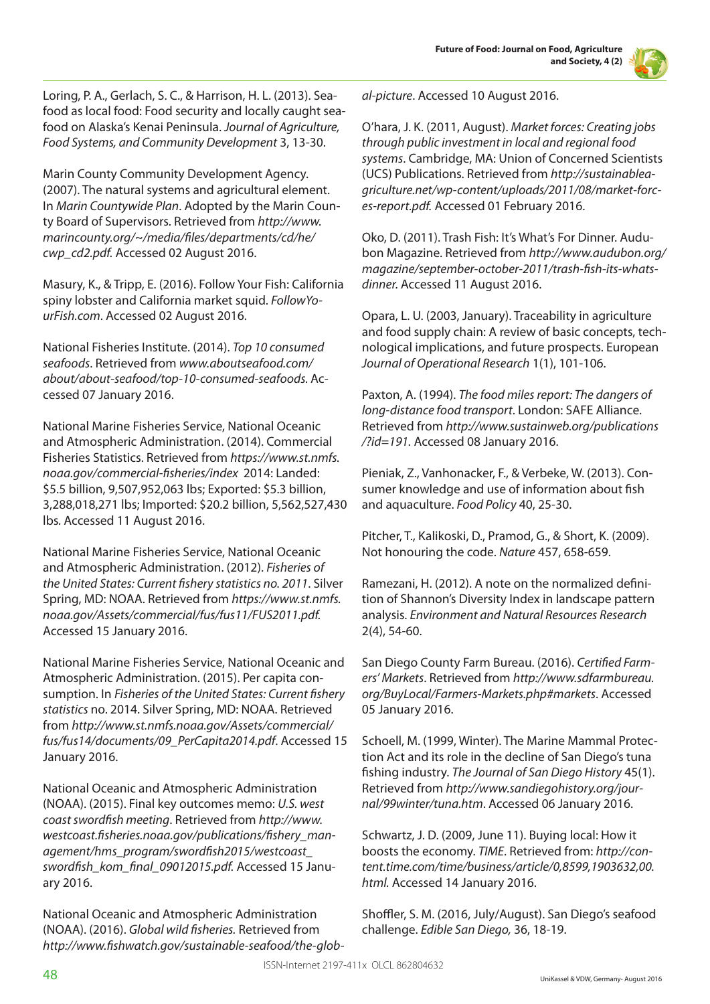

Loring, P. A., Gerlach, S. C., & Harrison, H. L. (2013). Seafood as local food: Food security and locally caught seafood on Alaska's Kenai Peninsula. *Journal of Agriculture, Food Systems, and Community Development* 3, 13-30.

Marin County Community Development Agency. (2007). The natural systems and agricultural element. In *Marin Countywide Plan*. Adopted by the Marin County Board of Supervisors. Retrieved from *http://www. marincounty.org/~/media/files/departments/cd/he/ cwp\_cd2.pdf.* Accessed 02 August 2016.

Masury, K., & Tripp, E. (2016). Follow Your Fish: California spiny lobster and California market squid. *FollowYourFish.com*. Accessed 02 August 2016.

National Fisheries Institute. (2014). *Top 10 consumed seafoods*. Retrieved from *www.aboutseafood.com/ about/about-seafood/top-10-consumed-seafoods.* Accessed 07 January 2016.

National Marine Fisheries Service, National Oceanic and Atmospheric Administration. (2014). Commercial Fisheries Statistics. Retrieved from *https://www.st.nmfs. noaa.gov/commercial-fisheries/index* 2014: Landed: \$5.5 billion, 9,507,952,063 lbs; Exported: \$5.3 billion, 3,288,018,271 lbs; Imported: \$20.2 billion, 5,562,527,430 lbs*.* Accessed 11 August 2016.

National Marine Fisheries Service, National Oceanic and Atmospheric Administration. (2012). *Fisheries of the United States: Current fishery statistics no. 2011*. Silver Spring, MD: NOAA. Retrieved from *https://www.st.nmfs. noaa.gov/Assets/commercial/fus/fus11/FUS2011.pdf.*  Accessed 15 January 2016.

National Marine Fisheries Service, National Oceanic and Atmospheric Administration. (2015). Per capita consumption. In *Fisheries of the United States: Current fishery statistics* no. 2014. Silver Spring, MD: NOAA. Retrieved from *http://www.st.nmfs.noaa.gov/Assets/commercial/ fus/fus14/documents/09\_PerCapita2014.pdf*. Accessed 15 January 2016.

National Oceanic and Atmospheric Administration (NOAA). (2015). Final key outcomes memo: *U.S. west coast swordfish meeting*. Retrieved from *http://www. westcoast.fisheries.noaa.gov/publications/fishery\_management/hms\_program/swordfish2015/westcoast\_ swordfish\_kom\_final\_09012015.pdf.* Accessed 15 January 2016.

National Oceanic and Atmospheric Administration (NOAA). (2016). *Global wild fisheries.* Retrieved from *http://www.fishwatch.gov/sustainable-seafood/the-glob-* *al-picture*. Accessed 10 August 2016.

O'hara, J. K. (2011, August). *Market forces: Creating jobs through public investment in local and regional food systems*. Cambridge, MA: Union of Concerned Scientists (UCS) Publications. Retrieved from *http://sustainableagriculture.net/wp-content/uploads/2011/08/market-forces-report.pdf.* Accessed 01 February 2016.

Oko, D. (2011). Trash Fish: It's What's For Dinner. Audubon Magazine. Retrieved from *http://www.audubon.org/ magazine/september-october-2011/trash-fish-its-whatsdinner.* Accessed 11 August 2016.

Opara, L. U. (2003, January). Traceability in agriculture and food supply chain: A review of basic concepts, technological implications, and future prospects. European *Journal of Operational Research* 1(1), 101-106.

Paxton, A. (1994). *The food miles report: The dangers of long-distance food transport*. London: SAFE Alliance. Retrieved from *http://www.sustainweb.org/publications /?id=191.* Accessed 08 January 2016.

Pieniak, Z., Vanhonacker, F., & Verbeke, W. (2013). Consumer knowledge and use of information about fish and aquaculture. *Food Policy* 40, 25-30.

Pitcher, T., Kalikoski, D., Pramod, G., & Short, K. (2009). Not honouring the code. *Nature* 457, 658-659.

Ramezani, H. (2012). A note on the normalized definition of Shannon's Diversity Index in landscape pattern analysis. *Environment and Natural Resources Research* 2(4), 54-60.

San Diego County Farm Bureau. (2016). *Certified Farmers' Markets*. Retrieved from *http://www.sdfarmbureau. org/BuyLocal/Farmers-Markets.php#markets*. Accessed 05 January 2016.

Schoell, M. (1999, Winter). The Marine Mammal Protection Act and its role in the decline of San Diego's tuna fishing industry. *The Journal of San Diego History* 45(1). Retrieved from *http://www.sandiegohistory.org/journal/99winter/tuna.htm*. Accessed 06 January 2016.

Schwartz, J. D. (2009, June 11). Buying local: How it boosts the economy. *TIME*. Retrieved from: *http://content.time.com/time/business/article/0,8599,1903632,00. html.* Accessed 14 January 2016.

Shoffler, S. M. (2016, July/August). San Diego's seafood challenge. *Edible San Diego,* 36, 18-19.